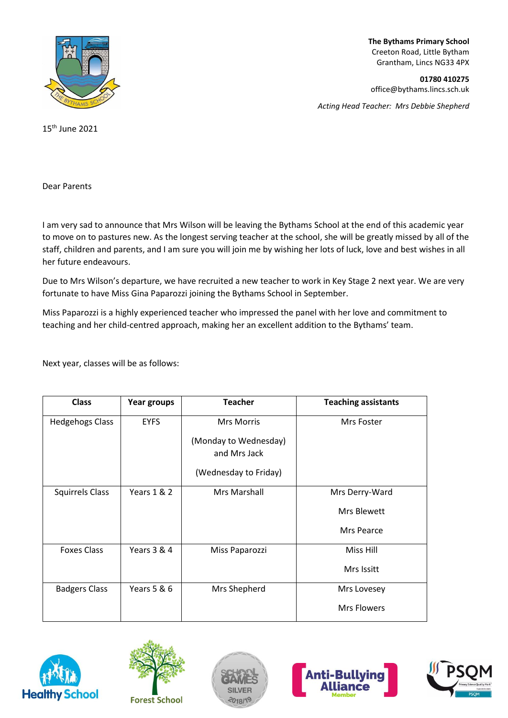

**The Bythams Primary School** Creeton Road, Little Bytham Grantham, Lincs NG33 4PX

**01780 410275** office@bythams.lincs.sch.uk

*Acting Head Teacher: Mrs Debbie Shepherd*

15th June 2021

Dear Parents

I am very sad to announce that Mrs Wilson will be leaving the Bythams School at the end of this academic year to move on to pastures new. As the longest serving teacher at the school, she will be greatly missed by all of the staff, children and parents, and I am sure you will join me by wishing her lots of luck, love and best wishes in all her future endeavours.

Due to Mrs Wilson's departure, we have recruited a new teacher to work in Key Stage 2 next year. We are very fortunate to have Miss Gina Paparozzi joining the Bythams School in September.

Miss Paparozzi is a highly experienced teacher who impressed the panel with her love and commitment to teaching and her child-centred approach, making her an excellent addition to the Bythams' team.

Next year, classes will be as follows:

| <b>Class</b>           | Year groups | <b>Teacher</b>                        | <b>Teaching assistants</b> |
|------------------------|-------------|---------------------------------------|----------------------------|
| <b>Hedgehogs Class</b> | <b>EYFS</b> | <b>Mrs Morris</b>                     | Mrs Foster                 |
|                        |             | (Monday to Wednesday)<br>and Mrs Jack |                            |
|                        |             | (Wednesday to Friday)                 |                            |
| <b>Squirrels Class</b> | Years 1 & 2 | <b>Mrs Marshall</b>                   | Mrs Derry-Ward             |
|                        |             |                                       | <b>Mrs Blewett</b>         |
|                        |             |                                       | Mrs Pearce                 |
| <b>Foxes Class</b>     | Years 3 & 4 | Miss Paparozzi                        | Miss Hill                  |
|                        |             |                                       | Mrs Issitt                 |
| <b>Badgers Class</b>   | Years 5 & 6 | Mrs Shepherd                          | Mrs Lovesey                |
|                        |             |                                       | <b>Mrs Flowers</b>         |